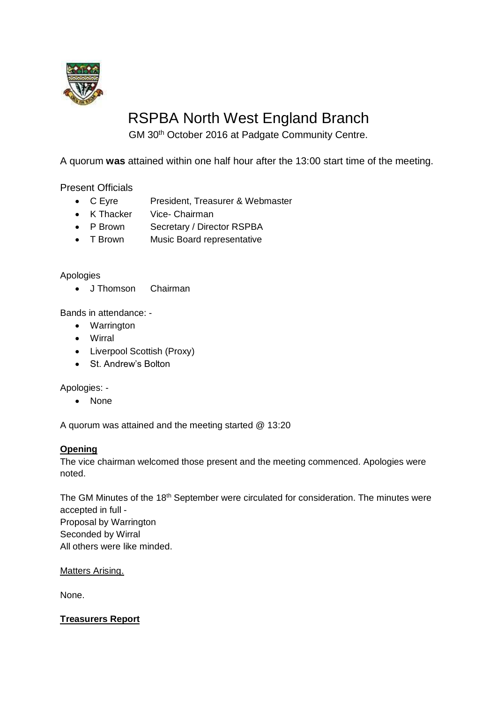

# RSPBA North West England Branch

GM 30th October 2016 at Padgate Community Centre.

A quorum **was** attained within one half hour after the 13:00 start time of the meeting.

Present Officials

- C Eyre President, Treasurer & Webmaster
- K Thacker Vice- Chairman
- P Brown Secretary / Director RSPBA
- T Brown Music Board representative

# Apologies

• J Thomson Chairman

Bands in attendance: -

- Warrington
- Wirral
- Liverpool Scottish (Proxy)
- St. Andrew's Bolton

Apologies: -

• None

A quorum was attained and the meeting started @ 13:20

#### **Opening**

The vice chairman welcomed those present and the meeting commenced. Apologies were noted.

The GM Minutes of the 18<sup>th</sup> September were circulated for consideration. The minutes were accepted in full - Proposal by Warrington Seconded by Wirral All others were like minded.

Matters Arising.

None.

**Treasurers Report**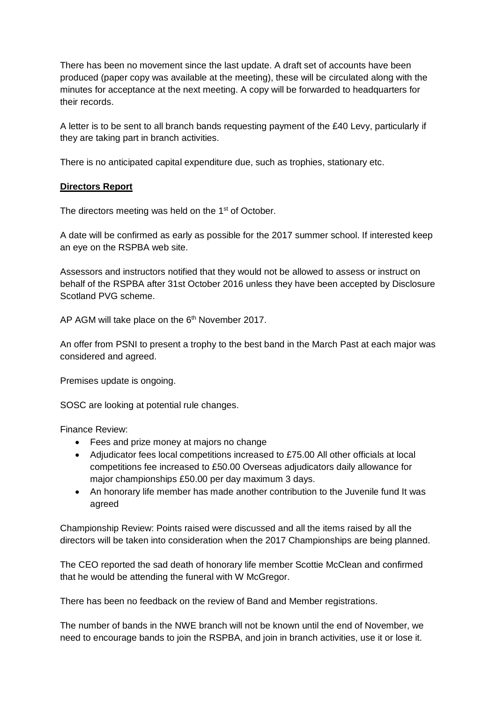There has been no movement since the last update. A draft set of accounts have been produced (paper copy was available at the meeting), these will be circulated along with the minutes for acceptance at the next meeting. A copy will be forwarded to headquarters for their records.

A letter is to be sent to all branch bands requesting payment of the £40 Levy, particularly if they are taking part in branch activities.

There is no anticipated capital expenditure due, such as trophies, stationary etc.

# **Directors Report**

The directors meeting was held on the 1<sup>st</sup> of October.

A date will be confirmed as early as possible for the 2017 summer school. If interested keep an eye on the RSPBA web site.

Assessors and instructors notified that they would not be allowed to assess or instruct on behalf of the RSPBA after 31st October 2016 unless they have been accepted by Disclosure Scotland PVG scheme.

AP AGM will take place on the 6<sup>th</sup> November 2017.

An offer from PSNI to present a trophy to the best band in the March Past at each major was considered and agreed.

Premises update is ongoing.

SOSC are looking at potential rule changes.

Finance Review:

- Fees and prize money at majors no change
- Adjudicator fees local competitions increased to £75.00 All other officials at local competitions fee increased to £50.00 Overseas adjudicators daily allowance for major championships £50.00 per day maximum 3 days.
- An honorary life member has made another contribution to the Juvenile fund It was agreed

Championship Review: Points raised were discussed and all the items raised by all the directors will be taken into consideration when the 2017 Championships are being planned.

The CEO reported the sad death of honorary life member Scottie McClean and confirmed that he would be attending the funeral with W McGregor.

There has been no feedback on the review of Band and Member registrations.

The number of bands in the NWE branch will not be known until the end of November, we need to encourage bands to join the RSPBA, and join in branch activities, use it or lose it.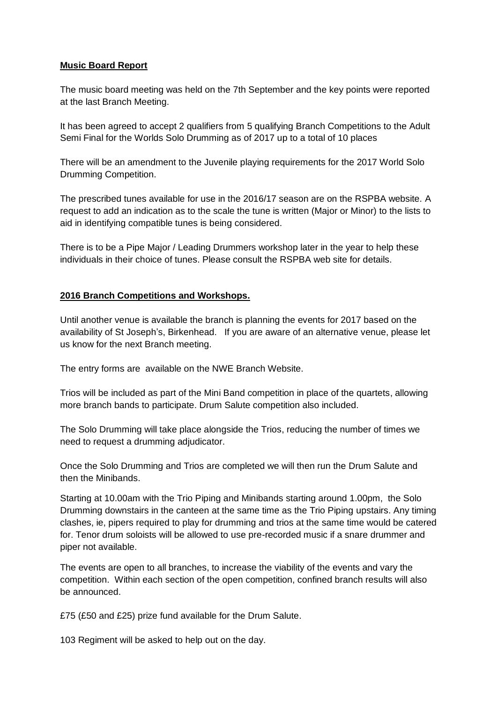# **Music Board Report**

The music board meeting was held on the 7th September and the key points were reported at the last Branch Meeting.

It has been agreed to accept 2 qualifiers from 5 qualifying Branch Competitions to the Adult Semi Final for the Worlds Solo Drumming as of 2017 up to a total of 10 places

There will be an amendment to the Juvenile playing requirements for the 2017 World Solo Drumming Competition.

The prescribed tunes available for use in the 2016/17 season are on the RSPBA website. A request to add an indication as to the scale the tune is written (Major or Minor) to the lists to aid in identifying compatible tunes is being considered.

There is to be a Pipe Major / Leading Drummers workshop later in the year to help these individuals in their choice of tunes. Please consult the RSPBA web site for details.

# **2016 Branch Competitions and Workshops.**

Until another venue is available the branch is planning the events for 2017 based on the availability of St Joseph's, Birkenhead. If you are aware of an alternative venue, please let us know for the next Branch meeting.

The entry forms are available on the NWE Branch Website.

Trios will be included as part of the Mini Band competition in place of the quartets, allowing more branch bands to participate. Drum Salute competition also included.

The Solo Drumming will take place alongside the Trios, reducing the number of times we need to request a drumming adjudicator.

Once the Solo Drumming and Trios are completed we will then run the Drum Salute and then the Minibands.

Starting at 10.00am with the Trio Piping and Minibands starting around 1.00pm, the Solo Drumming downstairs in the canteen at the same time as the Trio Piping upstairs. Any timing clashes, ie, pipers required to play for drumming and trios at the same time would be catered for. Tenor drum soloists will be allowed to use pre-recorded music if a snare drummer and piper not available.

The events are open to all branches, to increase the viability of the events and vary the competition. Within each section of the open competition, confined branch results will also be announced.

£75 (£50 and £25) prize fund available for the Drum Salute.

103 Regiment will be asked to help out on the day.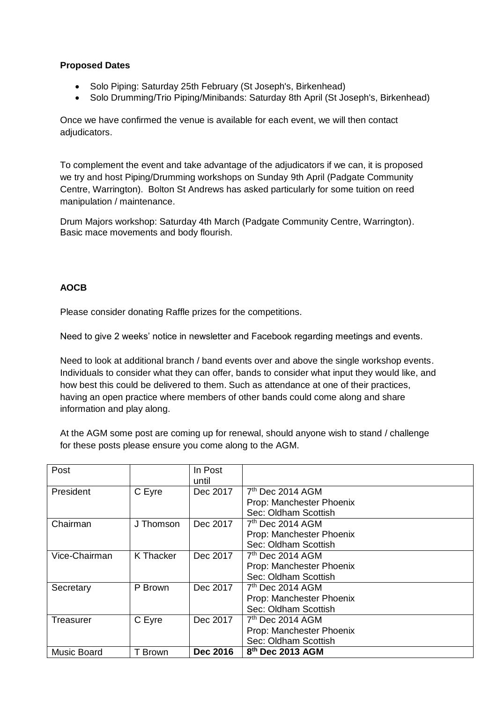# **Proposed Dates**

- Solo Piping: Saturday 25th February (St Joseph's, Birkenhead)
- Solo Drumming/Trio Piping/Minibands: Saturday 8th April (St Joseph's, Birkenhead)

Once we have confirmed the venue is available for each event, we will then contact adjudicators.

To complement the event and take advantage of the adjudicators if we can, it is proposed we try and host Piping/Drumming workshops on Sunday 9th April (Padgate Community Centre, Warrington). Bolton St Andrews has asked particularly for some tuition on reed manipulation / maintenance.

Drum Majors workshop: Saturday 4th March (Padgate Community Centre, Warrington). Basic mace movements and body flourish.

# **AOCB**

Please consider donating Raffle prizes for the competitions.

Need to give 2 weeks' notice in newsletter and Facebook regarding meetings and events.

Need to look at additional branch / band events over and above the single workshop events. Individuals to consider what they can offer, bands to consider what input they would like, and how best this could be delivered to them. Such as attendance at one of their practices, having an open practice where members of other bands could come along and share information and play along.

At the AGM some post are coming up for renewal, should anyone wish to stand / challenge for these posts please ensure you come along to the AGM.

| Post               |           | In Post         |                              |
|--------------------|-----------|-----------------|------------------------------|
|                    |           | until           |                              |
| President          | C Eyre    | Dec 2017        | $7th$ Dec 2014 AGM           |
|                    |           |                 | Prop: Manchester Phoenix     |
|                    |           |                 | Sec: Oldham Scottish         |
| Chairman           | J Thomson | Dec 2017        | $7th$ Dec 2014 AGM           |
|                    |           |                 | Prop: Manchester Phoenix     |
|                    |           |                 | Sec: Oldham Scottish         |
| Vice-Chairman      | K Thacker | Dec 2017        | $7th$ Dec 2014 AGM           |
|                    |           |                 | Prop: Manchester Phoenix     |
|                    |           |                 | Sec: Oldham Scottish         |
| Secretary          | P Brown   | Dec 2017        | $7th$ Dec 2014 AGM           |
|                    |           |                 | Prop: Manchester Phoenix     |
|                    |           |                 | Sec: Oldham Scottish         |
| Treasurer          | C Eyre    | Dec 2017        | 7 <sup>th</sup> Dec 2014 AGM |
|                    |           |                 | Prop: Manchester Phoenix     |
|                    |           |                 | Sec: Oldham Scottish         |
| <b>Music Board</b> | T Brown   | <b>Dec 2016</b> | 8 <sup>th</sup> Dec 2013 AGM |